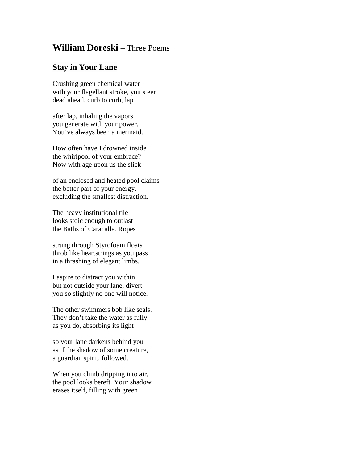## **William Doreski** – Three Poems

## **Stay in Your Lane**

Crushing green chemical water with your flagellant stroke, you steer dead ahead, curb to curb, lap

after lap, inhaling the vapors you generate with your power. You've always been a mermaid.

How often have I drowned inside the whirlpool of your embrace? Now with age upon us the slick

of an enclosed and heated pool claims the better part of your energy, excluding the smallest distraction.

The heavy institutional tile looks stoic enough to outlast the Baths of Caracalla. Ropes

strung through Styrofoam floats throb like heartstrings as you pass in a thrashing of elegant limbs.

I aspire to distract you within but not outside your lane, divert you so slightly no one will notice.

The other swimmers bob like seals. They don't take the water as fully as you do, absorbing its light

so your lane darkens behind you as if the shadow of some creature, a guardian spirit, followed.

When you climb dripping into air, the pool looks bereft. Your shadow erases itself, filling with green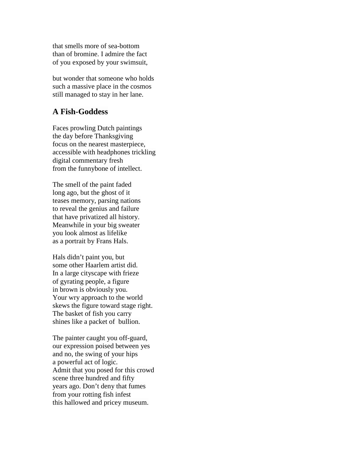that smells more of sea-bottom than of bromine. I admire the fact of you exposed by your swimsuit,

but wonder that someone who holds such a massive place in the cosmos still managed to stay in her lane.

## **A Fish-Goddess**

Faces prowling Dutch paintings the day before Thanksgiving focus on the nearest masterpiece, accessible with headphones trickling digital commentary fresh from the funnybone of intellect.

The smell of the paint faded long ago, but the ghost of it teases memory, parsing nations to reveal the genius and failure that have privatized all history. Meanwhile in your big sweater you look almost as lifelike as a portrait by Frans Hals.

Hals didn't paint you, but some other Haarlem artist did. In a large cityscape with frieze of gyrating people, a figure in brown is obviously you. Your wry approach to the world skews the figure toward stage right. The basket of fish you carry shines like a packet of bullion.

The painter caught you off-guard, our expression poised between yes and no, the swing of your hips a powerful act of logic. Admit that you posed for this crowd scene three hundred and fifty years ago. Don't deny that fumes from your rotting fish infest this hallowed and pricey museum.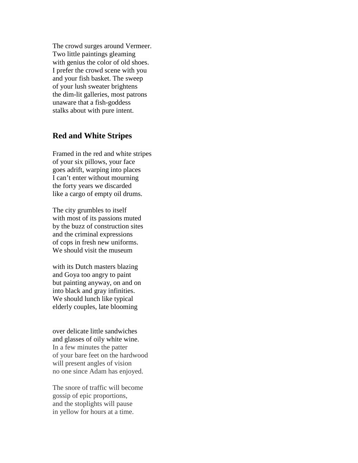The crowd surges around Vermeer. Two little paintings gleaming with genius the color of old shoes. I prefer the crowd scene with you and your fish basket. The sweep of your lush sweater brightens the dim-lit galleries, most patrons unaware that a fish-goddess stalks about with pure intent.

## **Red and White Stripes**

Framed in the red and white stripes of your six pillows, your face goes adrift, warping into places I can't enter without mourning the forty years we discarded like a cargo of empty oil drums.

The city grumbles to itself with most of its passions muted by the buzz of construction sites and the criminal expressions of cops in fresh new uniforms. We should visit the museum

with its Dutch masters blazing and Goya too angry to paint but painting anyway, on and on into black and gray infinities. We should lunch like typical elderly couples, late blooming

over delicate little sandwiches and glasses of oily white wine. In a few minutes the patter of your bare feet on the hardwood will present angles of vision no one since Adam has enjoyed.

The snore of traffic will become gossip of epic proportions, and the stoplights will pause in yellow for hours at a time.